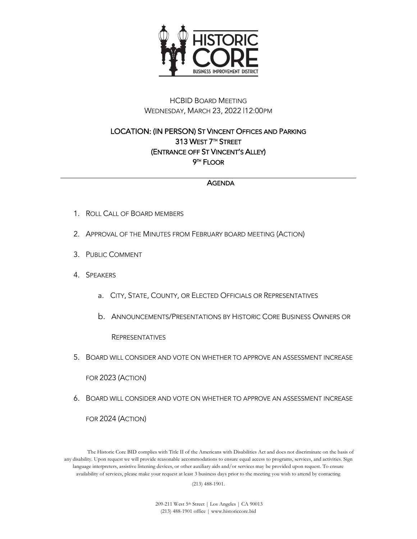

## HCBID BOARD MEETING WEDNESDAY, MARCH 23, 2022 |12:00PM

## LOCATION: (IN PERSON) ST VINCENT OFFICES AND PARKING 313 WEST 7TH STREET (ENTRANCE OFF ST VINCENT'S ALLEY) 9TH FLOOR

## AGENDA

- 1. ROLL CALL OF BOARD MEMBERS
- 2. APPROVAL OF THE MINUTES FROM FEBRUARY BOARD MEETING (ACTION)
- 3. PUBLIC COMMENT
- 4. SPEAKERS
	- a. CITY, STATE, COUNTY, OR ELECTED OFFICIALS OR REPRESENTATIVES
	- b. ANNOUNCEMENTS/PRESENTATIONS BY HISTORIC CORE BUSINESS OWNERS OR

**REPRESENTATIVES** 

5. BOARD WILL CONSIDER AND VOTE ON WHETHER TO APPROVE AN ASSESSMENT INCREASE

FOR 2023 (ACTION)

6. BOARD WILL CONSIDER AND VOTE ON WHETHER TO APPROVE AN ASSESSMENT INCREASE FOR 2024 (ACTION)

The Historic Core BID complies with Title II of the Americans with Disabilities Act and does not discriminate on the basis of any disability. Upon request we will provide reasonable accommodations to ensure equal access to programs, services, and activities. Sign language interpreters, assistive listening devices, or other auxiliary aids and/or services may be provided upon request. To ensure availability of services, please make your request at least 3 business days prior to the meeting you wish to attend by contacting (213) 488-1901.